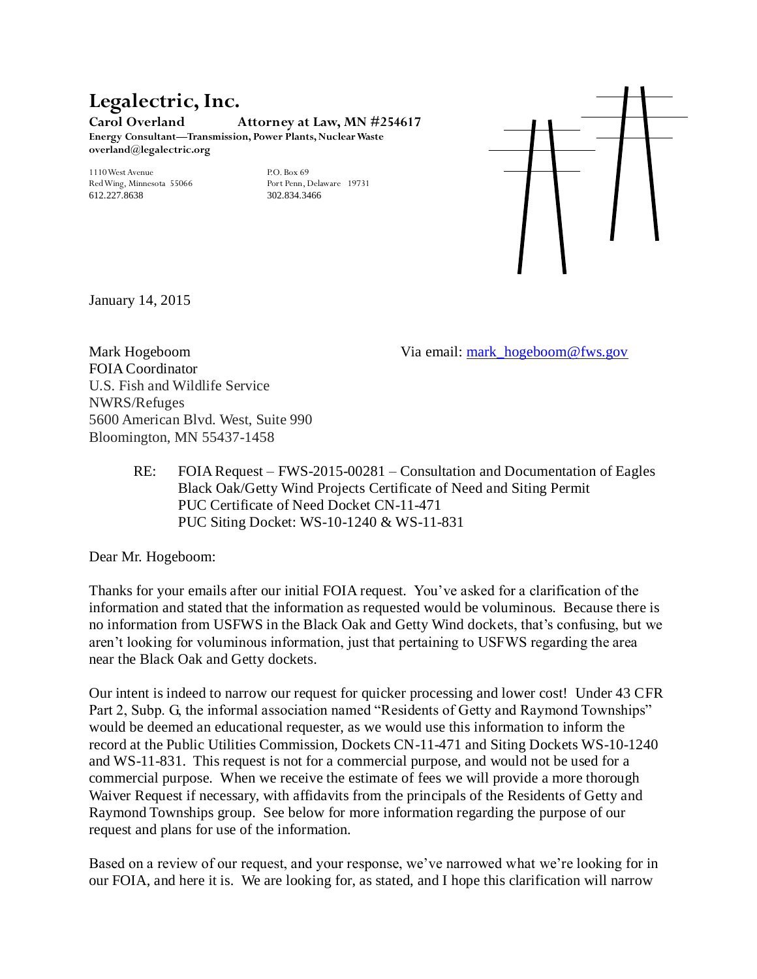## **Legalectric, Inc. Carol Overland Attorney at Law, MN #254617 Energy Consultant—Transmission, Power Plants, Nuclear Waste overland@legalectric.org**

1110 West Avenue P.O. Box 69<br>
Red Wing, Minnesota 55066 Port Penn, Delaware 19731 Red Wing, Minnesota 55066 Port Penn, Dela<br>612 227 8638 902 834 3466 612.227.8638



January 14, 2015

FOIA Coordinator U.S. Fish and Wildlife Service NWRS/Refuges 5600 American Blvd. West, Suite 990 Bloomington, MN 55437-1458

Mark Hogeboom Via email: [mark\\_hogeboom@fws.gov](mailto:mark_hogeboom@fws.gov)

RE: FOIA Request – FWS-2015-00281 – Consultation and Documentation of Eagles Black Oak/Getty Wind Projects Certificate of Need and Siting Permit PUC Certificate of Need Docket CN-11-471 PUC Siting Docket: WS-10-1240 & WS-11-831

Dear Mr. Hogeboom:

Thanks for your emails after our initial FOIA request. You've asked for a clarification of the information and stated that the information as requested would be voluminous. Because there is no information from USFWS in the Black Oak and Getty Wind dockets, that's confusing, but we aren't looking for voluminous information, just that pertaining to USFWS regarding the area near the Black Oak and Getty dockets.

Our intent is indeed to narrow our request for quicker processing and lower cost! Under 43 CFR Part 2, Subp. G, the informal association named "Residents of Getty and Raymond Townships" would be deemed an educational requester, as we would use this information to inform the record at the Public Utilities Commission, Dockets CN-11-471 and Siting Dockets WS-10-1240 and WS-11-831. This request is not for a commercial purpose, and would not be used for a commercial purpose. When we receive the estimate of fees we will provide a more thorough Waiver Request if necessary, with affidavits from the principals of the Residents of Getty and Raymond Townships group. See below for more information regarding the purpose of our request and plans for use of the information.

Based on a review of our request, and your response, we've narrowed what we're looking for in our FOIA, and here it is. We are looking for, as stated, and I hope this clarification will narrow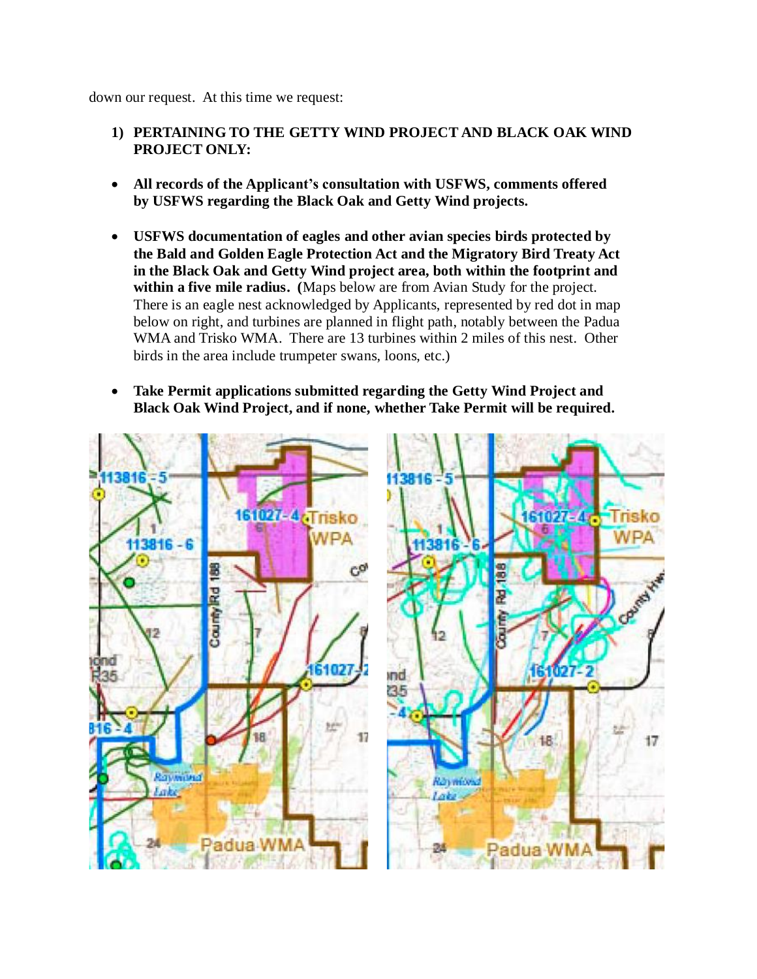down our request. At this time we request:

## **1) PERTAINING TO THE GETTY WIND PROJECT AND BLACK OAK WIND PROJECT ONLY:**

- **All records of the Applicant's consultation with USFWS, comments offered by USFWS regarding the Black Oak and Getty Wind projects.**
- **USFWS documentation of eagles and other avian species birds protected by the Bald and Golden Eagle Protection Act and the Migratory Bird Treaty Act in the Black Oak and Getty Wind project area, both within the footprint and within a five mile radius. (**Maps below are from Avian Study for the project. There is an eagle nest acknowledged by Applicants, represented by red dot in map below on right, and turbines are planned in flight path, notably between the Padua WMA and Trisko WMA. There are 13 turbines within 2 miles of this nest. Other birds in the area include trumpeter swans, loons, etc.)
- **Take Permit applications submitted regarding the Getty Wind Project and Black Oak Wind Project, and if none, whether Take Permit will be required.**

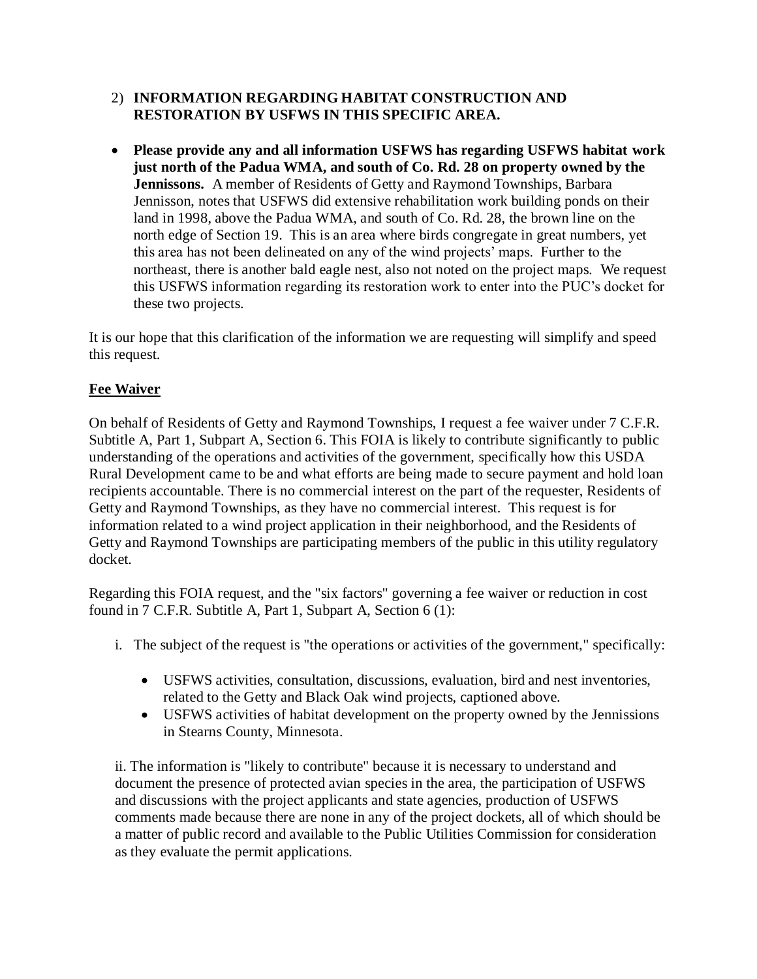## 2) **INFORMATION REGARDING HABITAT CONSTRUCTION AND RESTORATION BY USFWS IN THIS SPECIFIC AREA.**

 **Please provide any and all information USFWS has regarding USFWS habitat work just north of the Padua WMA, and south of Co. Rd. 28 on property owned by the Jennissons.** A member of Residents of Getty and Raymond Townships, Barbara Jennisson, notes that USFWS did extensive rehabilitation work building ponds on their land in 1998, above the Padua WMA, and south of Co. Rd. 28, the brown line on the north edge of Section 19. This is an area where birds congregate in great numbers, yet this area has not been delineated on any of the wind projects' maps. Further to the northeast, there is another bald eagle nest, also not noted on the project maps. We request this USFWS information regarding its restoration work to enter into the PUC's docket for these two projects.

It is our hope that this clarification of the information we are requesting will simplify and speed this request.

## **Fee Waiver**

On behalf of Residents of Getty and Raymond Townships, I request a fee waiver under 7 C.F.R. Subtitle A, Part 1, Subpart A, Section 6. This FOIA is likely to contribute significantly to public understanding of the operations and activities of the government, specifically how this USDA Rural Development came to be and what efforts are being made to secure payment and hold loan recipients accountable. There is no commercial interest on the part of the requester, Residents of Getty and Raymond Townships, as they have no commercial interest. This request is for information related to a wind project application in their neighborhood, and the Residents of Getty and Raymond Townships are participating members of the public in this utility regulatory docket.

Regarding this FOIA request, and the "six factors" governing a fee waiver or reduction in cost found in 7 C.F.R. Subtitle A, Part 1, Subpart A, Section 6 (1):

- i. The subject of the request is "the operations or activities of the government," specifically:
	- USFWS activities, consultation, discussions, evaluation, bird and nest inventories, related to the Getty and Black Oak wind projects, captioned above.
	- USFWS activities of habitat development on the property owned by the Jennissions in Stearns County, Minnesota.

ii. The information is "likely to contribute" because it is necessary to understand and document the presence of protected avian species in the area, the participation of USFWS and discussions with the project applicants and state agencies, production of USFWS comments made because there are none in any of the project dockets, all of which should be a matter of public record and available to the Public Utilities Commission for consideration as they evaluate the permit applications.